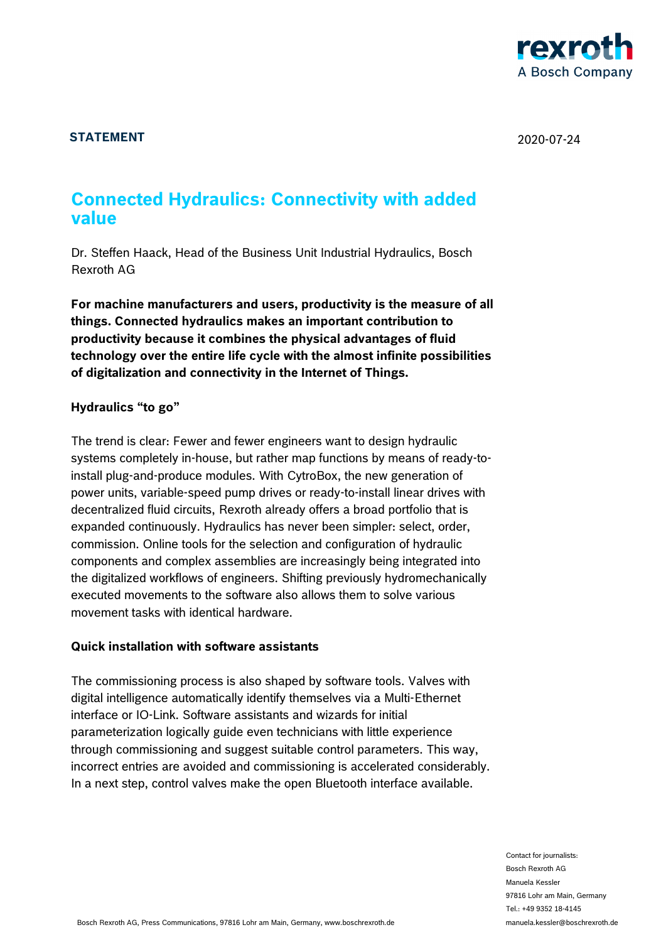

# **STATEMENT** 2020-07-24

# **Connected Hydraulics: Connectivity with added value**

Dr. Steffen Haack, Head of the Business Unit Industrial Hydraulics, Bosch Rexroth AG

**For machine manufacturers and users, productivity is the measure of all things. Connected hydraulics makes an important contribution to productivity because it combines the physical advantages of fluid technology over the entire life cycle with the almost infinite possibilities of digitalization and connectivity in the Internet of Things.** 

### **Hydraulics "to go"**

The trend is clear: Fewer and fewer engineers want to design hydraulic systems completely in-house, but rather map functions by means of ready-toinstall plug-and-produce modules. With CytroBox, the new generation of power units, variable-speed pump drives or ready-to-install linear drives with decentralized fluid circuits, Rexroth already offers a broad portfolio that is expanded continuously. Hydraulics has never been simpler: select, order, commission. Online tools for the selection and configuration of hydraulic components and complex assemblies are increasingly being integrated into the digitalized workflows of engineers. Shifting previously hydromechanically executed movements to the software also allows them to solve various movement tasks with identical hardware.

### **Quick installation with software assistants**

The commissioning process is also shaped by software tools. Valves with digital intelligence automatically identify themselves via a Multi-Ethernet interface or IO-Link. Software assistants and wizards for initial parameterization logically guide even technicians with little experience through commissioning and suggest suitable control parameters. This way, incorrect entries are avoided and commissioning is accelerated considerably. In a next step, control valves make the open Bluetooth interface available.

> Contact for journalists: Bosch Rexroth AG Manuela Kessler 97816 Lohr am Main, Germany Tel.: +49 9352 18-4145 manuela.kessler@boschrexroth.de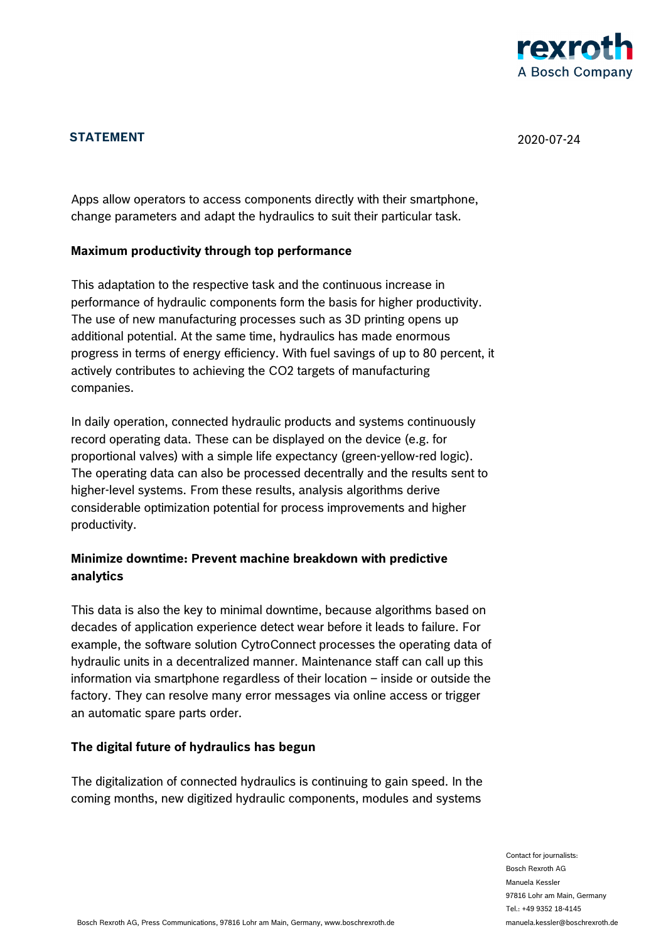

# **STATEMENT** 2020-07-24

Apps allow operators to access components directly with their smartphone, change parameters and adapt the hydraulics to suit their particular task.

### **Maximum productivity through top performance**

This adaptation to the respective task and the continuous increase in performance of hydraulic components form the basis for higher productivity. The use of new manufacturing processes such as 3D printing opens up additional potential. At the same time, hydraulics has made enormous progress in terms of energy efficiency. With fuel savings of up to 80 percent, it actively contributes to achieving the CO2 targets of manufacturing companies.

In daily operation, connected hydraulic products and systems continuously record operating data. These can be displayed on the device (e.g. for proportional valves) with a simple life expectancy (green-yellow-red logic). The operating data can also be processed decentrally and the results sent to higher-level systems. From these results, analysis algorithms derive considerable optimization potential for process improvements and higher productivity.

### **Minimize downtime: Prevent machine breakdown with predictive analytics**

This data is also the key to minimal downtime, because algorithms based on decades of application experience detect wear before it leads to failure. For example, the software solution CytroConnect processes the operating data of hydraulic units in a decentralized manner. Maintenance staff can call up this information via smartphone regardless of their location – inside or outside the factory. They can resolve many error messages via online access or trigger an automatic spare parts order.

#### **The digital future of hydraulics has begun**

The digitalization of connected hydraulics is continuing to gain speed. In the coming months, new digitized hydraulic components, modules and systems

> Contact for journalists: Bosch Rexroth AG Manuela Kessler 97816 Lohr am Main, Germany Tel.: +49 9352 18-4145 manuela.kessler@boschrexroth.de